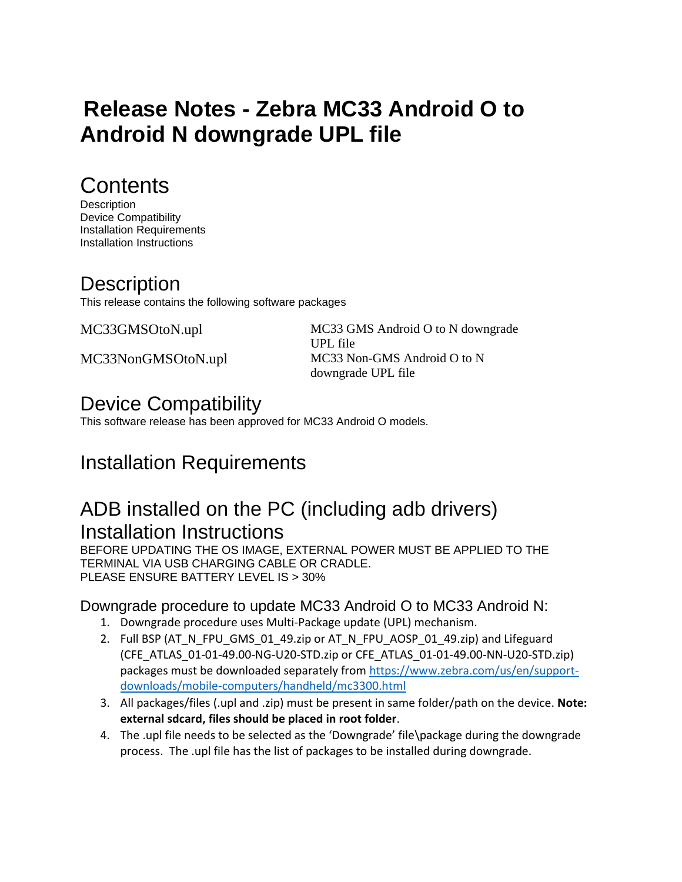# **Release Notes - Zebra MC33 Android O to Android N downgrade UPL file**

## **Contents**

**Description** Device Compatibility Installation Requirements Installation Instructions

#### **Description**

This release contains the following software packages

MC33GMSOtoN.upl MC33 GMS Android O to N downgrade UPL file MC33NonGMSOtoN.upl MC33 Non-GMS Android O to N downgrade UPL file

#### Device Compatibility

This software release has been approved for MC33 Android O models.

## Installation Requirements

#### ADB installed on the PC (including adb drivers) Installation Instructions

BEFORE UPDATING THE OS IMAGE, EXTERNAL POWER MUST BE APPLIED TO THE TERMINAL VIA USB CHARGING CABLE OR CRADLE. PLEASE ENSURE BATTERY LEVEL IS > 30%

#### Downgrade procedure to update MC33 Android O to MC33 Android N:

- 1. Downgrade procedure uses Multi-Package update (UPL) mechanism.
- 2. Full BSP (AT\_N\_FPU\_GMS\_01\_49.zip or AT\_N\_FPU\_AOSP\_01\_49.zip) and Lifeguard (CFE\_ATLAS\_01-01-49.00-NG-U20-STD.zip or CFE\_ATLAS\_01-01-49.00-NN-U20-STD.zip) packages must be downloaded separately from [https://www.zebra.com/us/en/support](https://www.zebra.com/us/en/support-downloads/mobile-computers/handheld/mc3300.html)[downloads/mobile-computers/handheld/mc3300.html](https://www.zebra.com/us/en/support-downloads/mobile-computers/handheld/mc3300.html)
- 3. All packages/files (.upl and .zip) must be present in same folder/path on the device. **Note: external sdcard, files should be placed in root folder**.
- 4. The .upl file needs to be selected as the 'Downgrade' file\package during the downgrade process. The .upl file has the list of packages to be installed during downgrade.